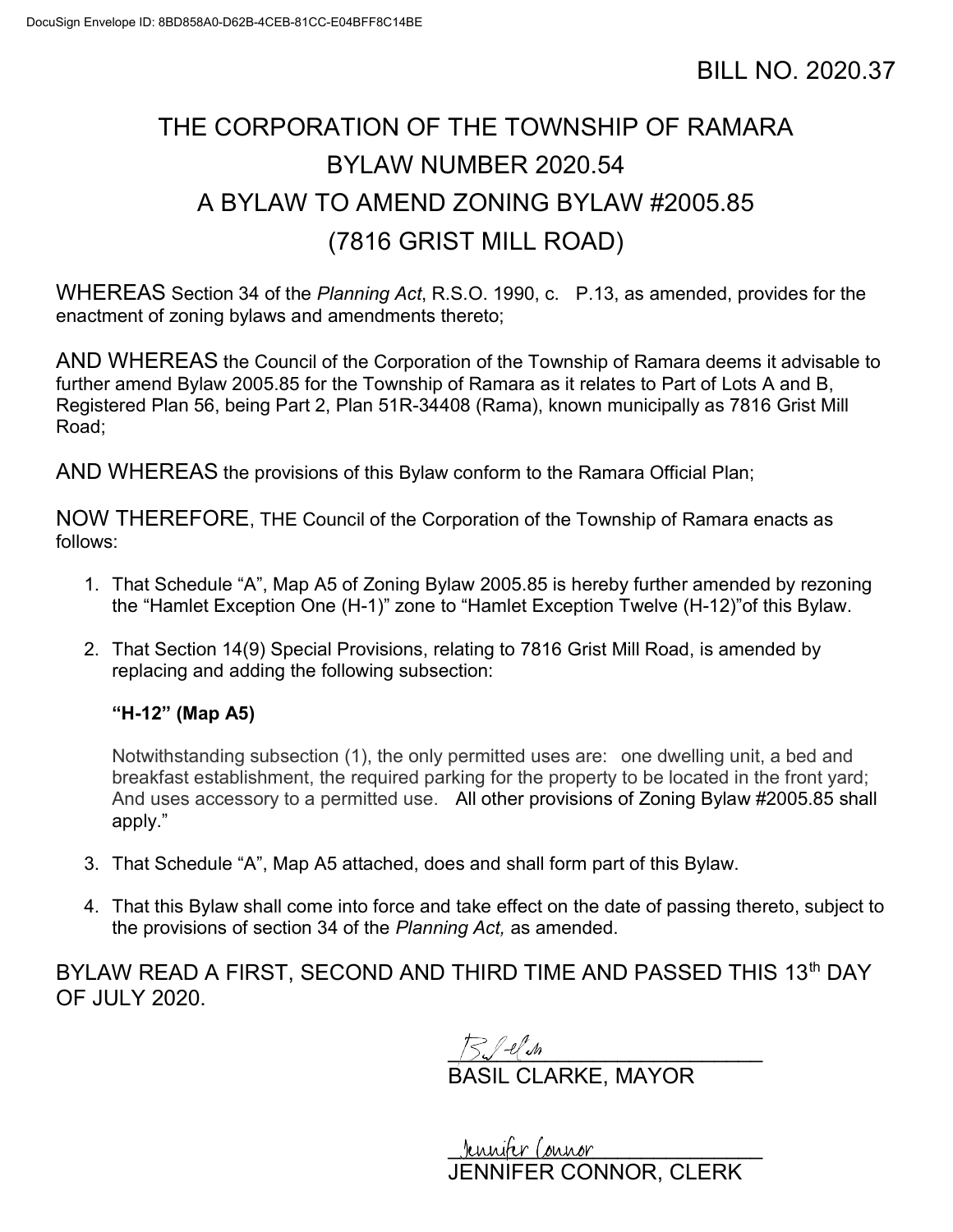## THE CORPORATION OF THE TOWNSHIP OF RAMARA BYLAW NUMBER 2020.54 A BYLAW TO AMEND ZONING BYLAW #2005.85 (7816 GRIST MILL ROAD)

WHEREAS Section 34 of the Planning Act, R.S.O. 1990, c. P.13, as amended, provides for the enactment of zoning bylaws and amendments thereto;

AND WHEREAS the Council of the Corporation of the Township of Ramara deems it advisable to further amend Bylaw 2005.85 for the Township of Ramara as it relates to Part of Lots A and B, Registered Plan 56, being Part 2, Plan 51R-34408 (Rama), known municipally as 7816 Grist Mill Road;

AND WHEREAS the provisions of this Bylaw conform to the Ramara Official Plan;

NOW THEREFORE, THE Council of the Corporation of the Township of Ramara enacts as follows:

- 1. That Schedule "A", Map A5 of Zoning Bylaw 2005.85 is hereby further amended by rezoning the "Hamlet Exception One (H-1)" zone to "Hamlet Exception Twelve (H-12)"of this Bylaw.
- 2. That Section 14(9) Special Provisions, relating to 7816 Grist Mill Road, is amended by replacing and adding the following subsection:

"H-12" (Map A5)

Notwithstanding subsection (1), the only permitted uses are: one dwelling unit, a bed and breakfast establishment, the required parking for the property to be located in the front yard; And uses accessory to a permitted use. All other provisions of Zoning Bylaw #2005.85 shall apply."

- 3. That Schedule "A", Map A5 attached, does and shall form part of this Bylaw.
- 4. That this Bylaw shall come into force and take effect on the date of passing thereto, subject to the provisions of section 34 of the Planning Act, as amended.

BYLAW READ A FIRST, SECOND AND THIRD TIME AND PASSED THIS 13th DAY OF JULY 2020.

 $\frac{1}{2}$   $\frac{1}{2}$   $\frac{1}{2}$   $\frac{1}{2}$   $\frac{1}{2}$   $\frac{1}{2}$ BASIL CLARKE, MAYOR

Jennifer Connor JENNIFER CONNOR, CLERK